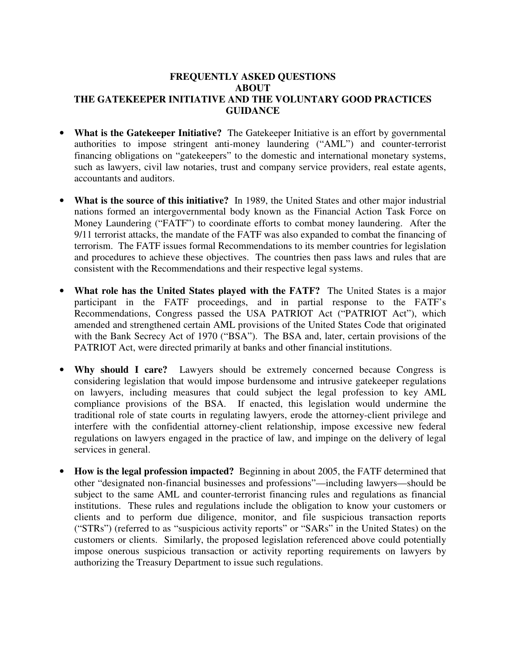## **FREQUENTLY ASKED QUESTIONS ABOUT THE GATEKEEPER INITIATIVE AND THE VOLUNTARY GOOD PRACTICES GUIDANCE**

- **What is the Gatekeeper Initiative?** The Gatekeeper Initiative is an effort by governmental authorities to impose stringent anti-money laundering ("AML") and counter-terrorist financing obligations on "gatekeepers" to the domestic and international monetary systems, such as lawyers, civil law notaries, trust and company service providers, real estate agents, accountants and auditors.
- **What is the source of this initiative?** In 1989, the United States and other major industrial nations formed an intergovernmental body known as the Financial Action Task Force on Money Laundering ("FATF") to coordinate efforts to combat money laundering. After the 9/11 terrorist attacks, the mandate of the FATF was also expanded to combat the financing of terrorism. The FATF issues formal Recommendations to its member countries for legislation and procedures to achieve these objectives. The countries then pass laws and rules that are consistent with the Recommendations and their respective legal systems.
- **What role has the United States played with the FATF?** The United States is a major participant in the FATF proceedings, and in partial response to the FATF's Recommendations, Congress passed the USA PATRIOT Act ("PATRIOT Act"), which amended and strengthened certain AML provisions of the United States Code that originated with the Bank Secrecy Act of 1970 ("BSA"). The BSA and, later, certain provisions of the PATRIOT Act, were directed primarily at banks and other financial institutions.
- **Why should I care?** Lawyers should be extremely concerned because Congress is considering legislation that would impose burdensome and intrusive gatekeeper regulations on lawyers, including measures that could subject the legal profession to key AML compliance provisions of the BSA. If enacted, this legislation would undermine the traditional role of state courts in regulating lawyers, erode the attorney-client privilege and interfere with the confidential attorney-client relationship, impose excessive new federal regulations on lawyers engaged in the practice of law, and impinge on the delivery of legal services in general.
- **How is the legal profession impacted?** Beginning in about 2005, the FATF determined that other "designated non-financial businesses and professions"—including lawyers—should be subject to the same AML and counter-terrorist financing rules and regulations as financial institutions. These rules and regulations include the obligation to know your customers or clients and to perform due diligence, monitor, and file suspicious transaction reports ("STRs") (referred to as "suspicious activity reports" or "SARs" in the United States) on the customers or clients. Similarly, the proposed legislation referenced above could potentially impose onerous suspicious transaction or activity reporting requirements on lawyers by authorizing the Treasury Department to issue such regulations.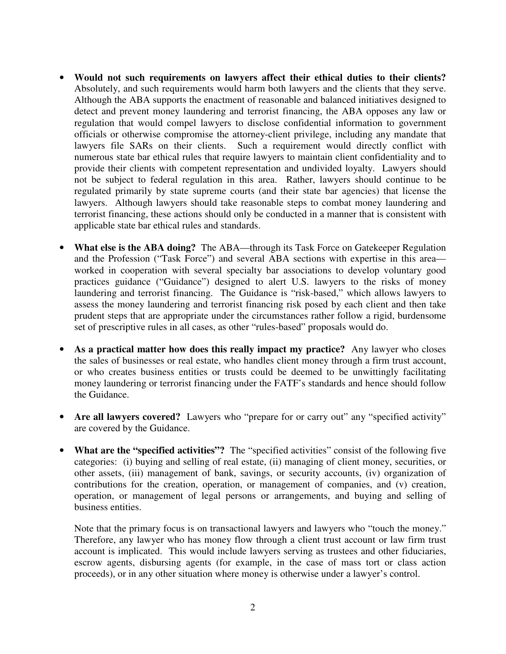- **Would not such requirements on lawyers affect their ethical duties to their clients?** Absolutely, and such requirements would harm both lawyers and the clients that they serve. Although the ABA supports the enactment of reasonable and balanced initiatives designed to detect and prevent money laundering and terrorist financing, the ABA opposes any law or regulation that would compel lawyers to disclose confidential information to government officials or otherwise compromise the attorney-client privilege, including any mandate that lawyers file SARs on their clients. Such a requirement would directly conflict with numerous state bar ethical rules that require lawyers to maintain client confidentiality and to provide their clients with competent representation and undivided loyalty. Lawyers should not be subject to federal regulation in this area. Rather, lawyers should continue to be regulated primarily by state supreme courts (and their state bar agencies) that license the lawyers. Although lawyers should take reasonable steps to combat money laundering and terrorist financing, these actions should only be conducted in a manner that is consistent with applicable state bar ethical rules and standards.
- **What else is the ABA doing?** The ABA—through its Task Force on Gatekeeper Regulation and the Profession ("Task Force") and several ABA sections with expertise in this area worked in cooperation with several specialty bar associations to develop voluntary good practices guidance ("Guidance") designed to alert U.S. lawyers to the risks of money laundering and terrorist financing. The Guidance is "risk-based," which allows lawyers to assess the money laundering and terrorist financing risk posed by each client and then take prudent steps that are appropriate under the circumstances rather follow a rigid, burdensome set of prescriptive rules in all cases, as other "rules-based" proposals would do.
- **As a practical matter how does this really impact my practice?** Any lawyer who closes the sales of businesses or real estate, who handles client money through a firm trust account, or who creates business entities or trusts could be deemed to be unwittingly facilitating money laundering or terrorist financing under the FATF's standards and hence should follow the Guidance.
- **Are all lawyers covered?** Lawyers who "prepare for or carry out" any "specified activity" are covered by the Guidance.
- **What are the "specified activities"?** The "specified activities" consist of the following five categories: (i) buying and selling of real estate, (ii) managing of client money, securities, or other assets, (iii) management of bank, savings, or security accounts, (iv) organization of contributions for the creation, operation, or management of companies, and (v) creation, operation, or management of legal persons or arrangements, and buying and selling of business entities.

Note that the primary focus is on transactional lawyers and lawyers who "touch the money." Therefore, any lawyer who has money flow through a client trust account or law firm trust account is implicated. This would include lawyers serving as trustees and other fiduciaries, escrow agents, disbursing agents (for example, in the case of mass tort or class action proceeds), or in any other situation where money is otherwise under a lawyer's control.